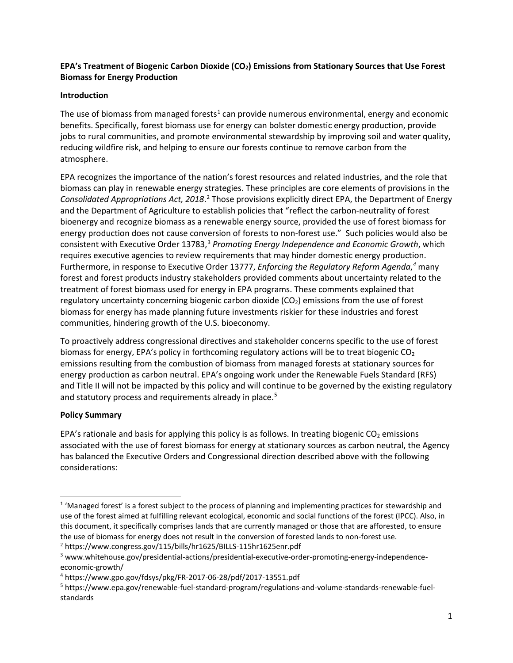# **EPA's Treatment of Biogenic Carbon Dioxide (CO2) Emissions from Stationary Sources that Use Forest Biomass for Energy Production**

# **Introduction**

The use of biomass from managed forests<sup>[1](#page-0-0)</sup> can provide numerous environmental, energy and economic benefits. Specifically, forest biomass use for energy can bolster domestic energy production, provide jobs to rural communities, and promote environmental stewardship by improving soil and water quality, reducing wildfire risk, and helping to ensure our forests continue to remove carbon from the atmosphere.

EPA recognizes the importance of the nation's forest resources and related industries, and the role that biomass can play in renewable energy strategies. These principles are core elements of provisions in the *Consolidated Appropriations Act, 2018*. [2](#page-0-1) Those provisions explicitly direct EPA, the Department of Energy and the Department of Agriculture to establish policies that "reflect the carbon-neutrality of forest bioenergy and recognize biomass as a renewable energy source, provided the use of forest biomass for energy production does not cause conversion of forests to non-forest use." Such policies would also be consistent with Executive Order 13783, [3](#page-0-2) *Promoting Energy Independence and Economic Growth*, which requires executive agencies to review requirements that may hinder domestic energy production. Furthermore, in response to Executive Order 13777, *Enforcing the Regulatory Reform Agenda*, *[4](#page-0-3)* many forest and forest products industry stakeholders provided comments about uncertainty related to the treatment of forest biomass used for energy in EPA programs. These comments explained that regulatory uncertainty concerning biogenic carbon dioxide  $(CO<sub>2</sub>)$  emissions from the use of forest biomass for energy has made planning future investments riskier for these industries and forest communities, hindering growth of the U.S. bioeconomy.

To proactively address congressional directives and stakeholder concerns specific to the use of forest biomass for energy, EPA's policy in forthcoming regulatory actions will be to treat biogenic  $CO<sub>2</sub>$ emissions resulting from the combustion of biomass from managed forests at stationary sources for energy production as carbon neutral. EPA's ongoing work under the Renewable Fuels Standard (RFS) and Title II will not be impacted by this policy and will continue to be governed by the existing regulatory and statutory process and requirements already in place.<sup>[5](#page-0-4)</sup>

#### **Policy Summary**

EPA's rationale and basis for applying this policy is as follows. In treating biogenic  $CO<sub>2</sub>$  emissions associated with the use of forest biomass for energy at stationary sources as carbon neutral, the Agency has balanced the Executive Orders and Congressional direction described above with the following considerations:

<span id="page-0-0"></span><sup>&</sup>lt;sup>1</sup> 'Managed forest' is a forest subject to the process of planning and implementing practices for stewardship and use of the forest aimed at fulfilling relevant ecological, economic and social functions of the forest (IPCC). Also, in this document, it specifically comprises lands that are currently managed or those that are afforested, to ensure the use of biomass for energy does not result in the conversion of forested lands to non-forest use.

<span id="page-0-1"></span><sup>2</sup> https://www.congress.gov/115/bills/hr1625/BILLS-115hr1625enr.pdf

<span id="page-0-2"></span><sup>3</sup> www.whitehouse.gov/presidential-actions/presidential-executive-order-promoting-energy-independenceeconomic-growth/

<span id="page-0-3"></span><sup>4</sup> https://www.gpo.gov/fdsys/pkg/FR-2017-06-28/pdf/2017-13551.pdf

<span id="page-0-4"></span><sup>5</sup> https://www.epa.gov/renewable-fuel-standard-program/regulations-and-volume-standards-renewable-fuelstandards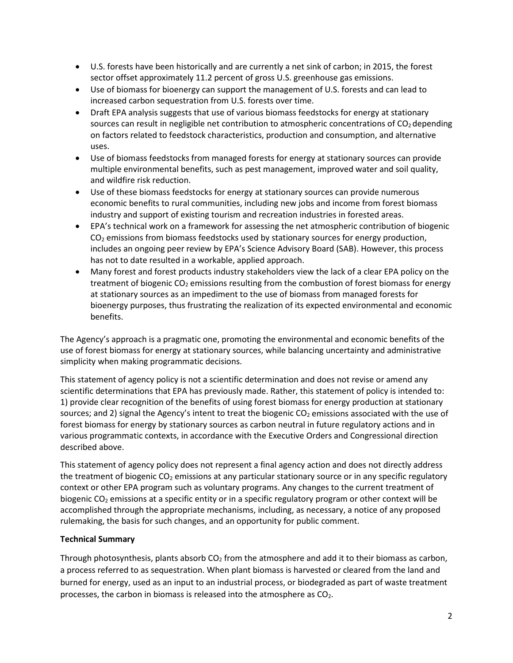- U.S. forests have been historically and are currently a net sink of carbon; in 2015, the forest sector offset approximately 11.2 percent of gross U.S. greenhouse gas emissions.
- Use of biomass for bioenergy can support the management of U.S. forests and can lead to increased carbon sequestration from U.S. forests over time.
- Draft EPA analysis suggests that use of various biomass feedstocks for energy at stationary sources can result in negligible net contribution to atmospheric concentrations of  $CO<sub>2</sub>$  depending on factors related to feedstock characteristics, production and consumption, and alternative uses.
- Use of biomass feedstocks from managed forests for energy at stationary sources can provide multiple environmental benefits, such as pest management, improved water and soil quality, and wildfire risk reduction.
- Use of these biomass feedstocks for energy at stationary sources can provide numerous economic benefits to rural communities, including new jobs and income from forest biomass industry and support of existing tourism and recreation industries in forested areas.
- EPA's technical work on a framework for assessing the net atmospheric contribution of biogenic  $CO<sub>2</sub>$  emissions from biomass feedstocks used by stationary sources for energy production, includes an ongoing peer review by EPA's Science Advisory Board (SAB). However, this process has not to date resulted in a workable, applied approach.
- Many forest and forest products industry stakeholders view the lack of a clear EPA policy on the treatment of biogenic  $CO<sub>2</sub>$  emissions resulting from the combustion of forest biomass for energy at stationary sources as an impediment to the use of biomass from managed forests for bioenergy purposes, thus frustrating the realization of its expected environmental and economic benefits.

The Agency's approach is a pragmatic one, promoting the environmental and economic benefits of the use of forest biomass for energy at stationary sources, while balancing uncertainty and administrative simplicity when making programmatic decisions.

This statement of agency policy is not a scientific determination and does not revise or amend any scientific determinations that EPA has previously made. Rather, this statement of policy is intended to: 1) provide clear recognition of the benefits of using forest biomass for energy production at stationary sources; and 2) signal the Agency's intent to treat the biogenic  $CO<sub>2</sub>$  emissions associated with the use of forest biomass for energy by stationary sources as carbon neutral in future regulatory actions and in various programmatic contexts, in accordance with the Executive Orders and Congressional direction described above.

This statement of agency policy does not represent a final agency action and does not directly address the treatment of biogenic CO<sub>2</sub> emissions at any particular stationary source or in any specific regulatory context or other EPA program such as voluntary programs. Any changes to the current treatment of biogenic  $CO<sub>2</sub>$  emissions at a specific entity or in a specific regulatory program or other context will be accomplished through the appropriate mechanisms, including, as necessary, a notice of any proposed rulemaking, the basis for such changes, and an opportunity for public comment.

# **Technical Summary**

Through photosynthesis, plants absorb  $CO<sub>2</sub>$  from the atmosphere and add it to their biomass as carbon, a process referred to as sequestration. When plant biomass is harvested or cleared from the land and burned for energy, used as an input to an industrial process, or biodegraded as part of waste treatment processes, the carbon in biomass is released into the atmosphere as  $CO<sub>2</sub>$ .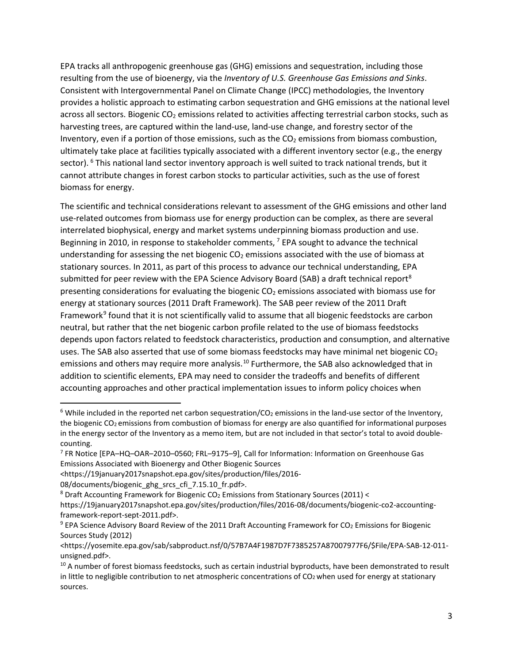EPA tracks all anthropogenic greenhouse gas (GHG) emissions and sequestration, including those resulting from the use of bioenergy, via the *Inventory of U.S. Greenhouse Gas Emissions and Sinks*. Consistent with Intergovernmental Panel on Climate Change (IPCC) methodologies, the Inventory provides a holistic approach to estimating carbon sequestration and GHG emissions at the national level across all sectors. Biogenic CO<sub>2</sub> emissions related to activities affecting terrestrial carbon stocks, such as harvesting trees, are captured within the land-use, land-use change, and forestry sector of the Inventory, even if a portion of those emissions, such as the  $CO<sub>2</sub>$  emissions from biomass combustion, ultimately take place at facilities typically associated with a different inventory sector (e.g., the energy sector). <sup>[6](#page-2-0)</sup> This national land sector inventory approach is well suited to track national trends, but it cannot attribute changes in forest carbon stocks to particular activities, such as the use of forest biomass for energy.

The scientific and technical considerations relevant to assessment of the GHG emissions and other land use-related outcomes from biomass use for energy production can be complex, as there are several interrelated biophysical, energy and market systems underpinning biomass production and use. Beginning in 2010, in response to stakeholder comments, <sup>[7](#page-2-1)</sup> EPA sought to advance the technical understanding for assessing the net biogenic  $CO<sub>2</sub>$  emissions associated with the use of biomass at stationary sources. In 2011, as part of this process to advance our technical understanding, EPA submitted for peer review with the EPA Science Advisory Board (SAB) a draft technical report<sup>[8](#page-2-2)</sup> presenting considerations for evaluating the biogenic  $CO<sub>2</sub>$  emissions associated with biomass use for energy at stationary sources (2011 Draft Framework). The SAB peer review of the 2011 Draft Framework<sup>[9](#page-2-3)</sup> found that it is not scientifically valid to assume that all biogenic feedstocks are carbon neutral, but rather that the net biogenic carbon profile related to the use of biomass feedstocks depends upon factors related to feedstock characteristics, production and consumption, and alternative uses. The SAB also asserted that use of some biomass feedstocks may have minimal net biogenic  $CO<sub>2</sub>$ emissions and others may require more analysis.<sup>[10](#page-2-4)</sup> Furthermore, the SAB also acknowledged that in addition to scientific elements, EPA may need to consider the tradeoffs and benefits of different accounting approaches and other practical implementation issues to inform policy choices when

<span id="page-2-0"></span> $6$  While included in the reported net carbon sequestration/CO<sub>2</sub> emissions in the land-use sector of the Inventory, the biogenic  $CO<sub>2</sub>$  emissions from combustion of biomass for energy are also quantified for informational purposes in the energy sector of the Inventory as a memo item, but are not included in that sector's total to avoid doublecounting.

<span id="page-2-1"></span><sup>7</sup> FR Notice [EPA–HQ–OAR–2010–0560; FRL–9175–9], Call for Information: Information on Greenhouse Gas Emissions Associated with Bioenergy and Other Biogenic Sources

<sup>&</sup>lt;https://19january2017snapshot.epa.gov/sites/production/files/2016-

<sup>08/</sup>documents/biogenic\_ghg\_srcs\_cfi\_7.15.10\_fr.pdf>.

<span id="page-2-2"></span><sup>&</sup>lt;sup>8</sup> Draft Accounting Framework for Biogenic CO<sub>2</sub> Emissions from Stationary Sources (2011) <

https://19january2017snapshot.epa.gov/sites/production/files/2016-08/documents/biogenic-co2-accountingframework-report-sept-2011.pdf>.

<span id="page-2-3"></span><sup>&</sup>lt;sup>9</sup> EPA Science Advisory Board Review of the 2011 Draft Accounting Framework for CO<sub>2</sub> Emissions for Biogenic Sources Study (2012)

<sup>&</sup>lt;https://yosemite.epa.gov/sab/sabproduct.nsf/0/57B7A4F1987D7F7385257A87007977F6/\$File/EPA-SAB-12-011 unsigned.pdf>.

<span id="page-2-4"></span><sup>&</sup>lt;sup>10</sup> A number of forest biomass feedstocks, such as certain industrial byproducts, have been demonstrated to result in little to negligible contribution to net atmospheric concentrations of  $CO<sub>2</sub>$  when used for energy at stationary sources.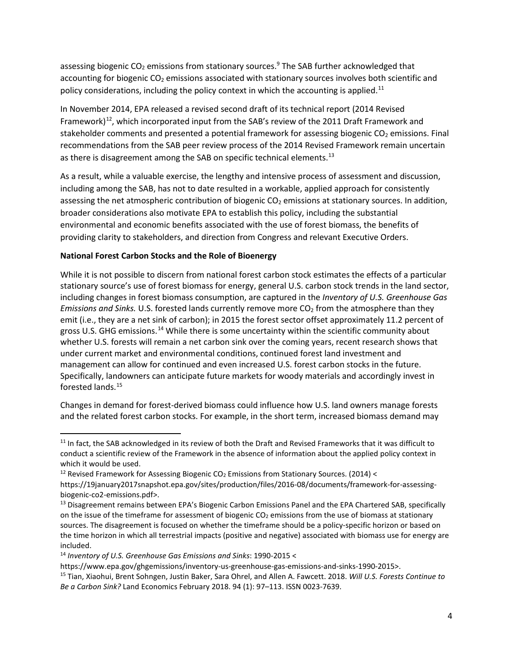assessing biogenic  $CO<sub>2</sub>$  emissions from stationary sources.<sup>9</sup> The SAB further acknowledged that accounting for biogenic CO<sub>2</sub> emissions associated with stationary sources involves both scientific and policy considerations, including the policy context in which the accounting is applied.<sup>[11](#page-3-0)</sup>

In November 2014, EPA released a revised second draft of its technical report (2014 Revised Framework)<sup>12</sup>, which incorporated input from the SAB's review of the 2011 Draft Framework and stakeholder comments and presented a potential framework for assessing biogenic  $CO<sub>2</sub>$  emissions. Final recommendations from the SAB peer review process of the 2014 Revised Framework remain uncertain as there is disagreement among the SAB on specific technical elements.<sup>[13](#page-3-2)</sup>

As a result, while a valuable exercise, the lengthy and intensive process of assessment and discussion, including among the SAB, has not to date resulted in a workable, applied approach for consistently assessing the net atmospheric contribution of biogenic  $CO<sub>2</sub>$  emissions at stationary sources. In addition, broader considerations also motivate EPA to establish this policy, including the substantial environmental and economic benefits associated with the use of forest biomass, the benefits of providing clarity to stakeholders, and direction from Congress and relevant Executive Orders.

# **National Forest Carbon Stocks and the Role of Bioenergy**

While it is not possible to discern from national forest carbon stock estimates the effects of a particular stationary source's use of forest biomass for energy, general U.S. carbon stock trends in the land sector, including changes in forest biomass consumption, are captured in the *Inventory of U.S. Greenhouse Gas Emissions and Sinks.* U.S. forested lands currently remove more CO<sub>2</sub> from the atmosphere than they emit (i.e., they are a net sink of carbon); in 2015 the forest sector offset approximately 11.2 percent of gross U.S. GHG emissions.[14](#page-3-3) While there is some uncertainty within the scientific community about whether U.S. forests will remain a net carbon sink over the coming years, recent research shows that under current market and environmental conditions, continued forest land investment and management can allow for continued and even increased U.S. forest carbon stocks in the future. Specifically, landowners can anticipate future markets for woody materials and accordingly invest in forested lands.[15](#page-3-4)

Changes in demand for forest-derived biomass could influence how U.S. land owners manage forests and the related forest carbon stocks. For example, in the short term, increased biomass demand may

<span id="page-3-0"></span><sup>&</sup>lt;sup>11</sup> In fact, the SAB acknowledged in its review of both the Draft and Revised Frameworks that it was difficult to conduct a scientific review of the Framework in the absence of information about the applied policy context in which it would be used.

<span id="page-3-1"></span><sup>&</sup>lt;sup>12</sup> Revised Framework for Assessing Biogenic CO<sub>2</sub> Emissions from Stationary Sources. (2014) <

https://19january2017snapshot.epa.gov/sites/production/files/2016-08/documents/framework-for-assessingbiogenic-co2-emissions.pdf>.

<span id="page-3-2"></span><sup>&</sup>lt;sup>13</sup> Disagreement remains between EPA's Biogenic Carbon Emissions Panel and the EPA Chartered SAB, specifically on the issue of the timeframe for assessment of biogenic CO<sub>2</sub> emissions from the use of biomass at stationary sources. The disagreement is focused on whether the timeframe should be a policy-specific horizon or based on the time horizon in which all terrestrial impacts (positive and negative) associated with biomass use for energy are included.

<span id="page-3-3"></span><sup>14</sup> *Inventory of U.S. Greenhouse Gas Emissions and Sinks*: 1990-2015 <

https://www.epa.gov/ghgemissions/inventory-us-greenhouse-gas-emissions-and-sinks-1990-2015>.

<span id="page-3-4"></span><sup>15</sup> Tian, Xiaohui, Brent Sohngen, Justin Baker, Sara Ohrel, and Allen A. Fawcett. 2018. *Will U.S. Forests Continue to Be a Carbon Sink?* Land Economics February 2018. 94 (1): 97–113. ISSN 0023-7639.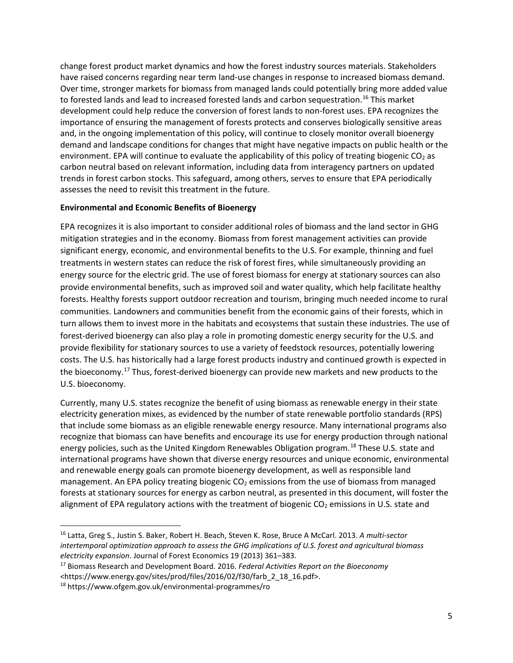change forest product market dynamics and how the forest industry sources materials. Stakeholders have raised concerns regarding near term land-use changes in response to increased biomass demand. Over time, stronger markets for biomass from managed lands could potentially bring more added value to forested lands and lead to increased forested lands and carbon sequestration.<sup>[16](#page-4-0)</sup> This market development could help reduce the conversion of forest lands to non-forest uses. EPA recognizes the importance of ensuring the management of forests protects and conserves biologically sensitive areas and, in the ongoing implementation of this policy, will continue to closely monitor overall bioenergy demand and landscape conditions for changes that might have negative impacts on public health or the environment. EPA will continue to evaluate the applicability of this policy of treating biogenic  $CO<sub>2</sub>$  as carbon neutral based on relevant information, including data from interagency partners on updated trends in forest carbon stocks. This safeguard, among others, serves to ensure that EPA periodically assesses the need to revisit this treatment in the future.

#### **Environmental and Economic Benefits of Bioenergy**

EPA recognizes it is also important to consider additional roles of biomass and the land sector in GHG mitigation strategies and in the economy. Biomass from forest management activities can provide significant energy, economic, and environmental benefits to the U.S. For example, thinning and fuel treatments in western states can reduce the risk of forest fires, while simultaneously providing an energy source for the electric grid. The use of forest biomass for energy at stationary sources can also provide environmental benefits, such as improved soil and water quality, which help facilitate healthy forests. Healthy forests support outdoor recreation and tourism, bringing much needed income to rural communities. Landowners and communities benefit from the economic gains of their forests, which in turn allows them to invest more in the habitats and ecosystems that sustain these industries. The use of forest-derived bioenergy can also play a role in promoting domestic energy security for the U.S. and provide flexibility for stationary sources to use a variety of feedstock resources, potentially lowering costs. The U.S. has historically had a large forest products industry and continued growth is expected in the bioeconomy.<sup>[17](#page-4-1)</sup> Thus, forest-derived bioenergy can provide new markets and new products to the U.S. bioeconomy.

Currently, many U.S. states recognize the benefit of using biomass as renewable energy in their state electricity generation mixes, as evidenced by the number of state renewable portfolio standards (RPS) that include some biomass as an eligible renewable energy resource. Many international programs also recognize that biomass can have benefits and encourage its use for energy production through national energy policies, such as the United Kingdom Renewables Obligation program.[18](#page-4-2) These U.S. state and international programs have shown that diverse energy resources and unique economic, environmental and renewable energy goals can promote bioenergy development, as well as responsible land management. An EPA policy treating biogenic  $CO<sub>2</sub>$  emissions from the use of biomass from managed forests at stationary sources for energy as carbon neutral, as presented in this document, will foster the alignment of EPA regulatory actions with the treatment of biogenic  $CO<sub>2</sub>$  emissions in U.S. state and

<span id="page-4-0"></span> <sup>16</sup> Latta, Greg S., Justin S. Baker, Robert H. Beach, Steven K. Rose, Bruce A McCarl. 2013. *A multi-sector intertemporal optimization approach to assess the GHG implications of U.S. forest and agricultural biomass electricity expansion*. Journal of Forest Economics 19 (2013) 361–383.

<span id="page-4-1"></span><sup>17</sup> Biomass Research and Development Board. 2016. *Federal Activities Report on the Bioeconomy* <https://www.energy.gov/sites/prod/files/2016/02/f30/farb\_2\_18\_16.pdf>.

<span id="page-4-2"></span><sup>18</sup> https://www.ofgem.gov.uk/environmental-programmes/ro